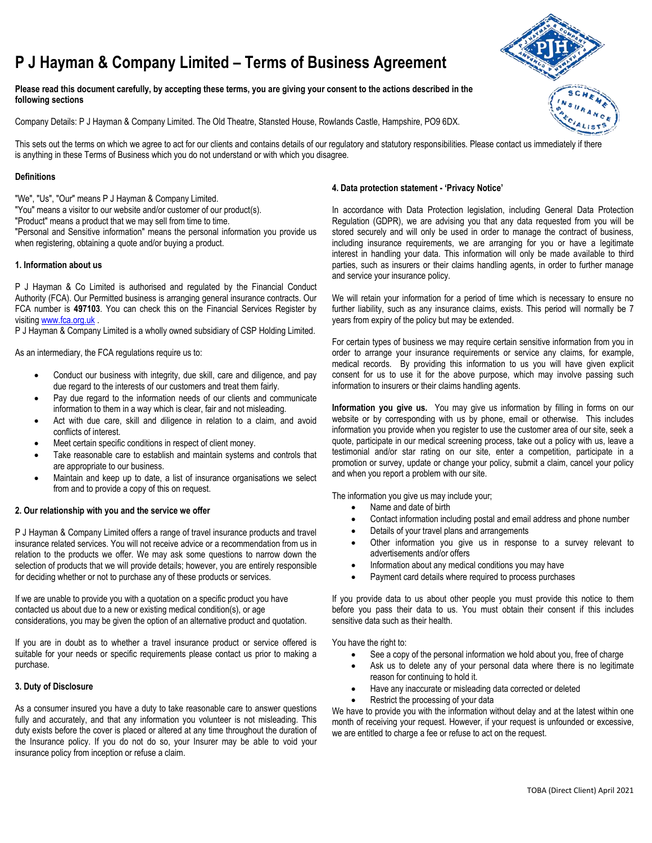# **P J Hayman & Company Limited – Terms of Business Agreement**

**Please read this document carefully, by accepting these terms, you are giving your consent to the actions described in the following sections** 

Company Details: P J Hayman & Company Limited. The Old Theatre, Stansted House, Rowlands Castle, Hampshire, PO9 6DX.

This sets out the terms on which we agree to act for our clients and contains details of our regulatory and statutory responsibilities. Please contact us immediately if there is anything in these Terms of Business which you do not understand or with which you disagree.

## **Definitions**

"We", "Us", "Our" means P J Hayman & Company Limited.

"You" means a visitor to our website and/or customer of our product(s).

"Product" means a product that we may sell from time to time.

"Personal and Sensitive information" means the personal information you provide us when registering, obtaining a quote and/or buying a product.

## **1. Information about us**

P J Hayman & Co Limited is authorised and regulated by the Financial Conduct Authority (FCA). Our Permitted business is arranging general insurance contracts. Our FCA number is **497103**. You can check this on the Financial Services Register by visiting [www.fca.org.uk](http://www.fca.org.uk/) .

P J Hayman & Company Limited is a wholly owned subsidiary of CSP Holding Limited.

As an intermediary, the FCA regulations require us to:

- Conduct our business with integrity, due skill, care and diligence, and pay due regard to the interests of our customers and treat them fairly.
- Pay due regard to the information needs of our clients and communicate information to them in a way which is clear, fair and not misleading.
- Act with due care, skill and diligence in relation to a claim, and avoid conflicts of interest.
- Meet certain specific conditions in respect of client money.
- Take reasonable care to establish and maintain systems and controls that are appropriate to our business.
- Maintain and keep up to date, a list of insurance organisations we select from and to provide a copy of this on request.

#### **2. Our relationship with you and the service we offer**

P J Hayman & Company Limited offers a range of travel insurance products and travel insurance related services. You will not receive advice or a recommendation from us in relation to the products we offer. We may ask some questions to narrow down the selection of products that we will provide details; however, you are entirely responsible for deciding whether or not to purchase any of these products or services.

If we are unable to provide you with a quotation on a specific product you have contacted us about due to a new or existing medical condition(s), or age considerations, you may be given the option of an alternative product and quotation.

If you are in doubt as to whether a travel insurance product or service offered is suitable for your needs or specific requirements please contact us prior to making a purchase.

#### **3. Duty of Disclosure**

As a consumer insured you have a duty to take reasonable care to answer questions fully and accurately, and that any information you volunteer is not misleading. This duty exists before the cover is placed or altered at any time throughout the duration of the Insurance policy. If you do not do so, your Insurer may be able to void your insurance policy from inception or refuse a claim.

## **4. Data protection statement - 'Privacy Notice'**

In accordance with Data Protection legislation, including General Data Protection Regulation (GDPR), we are advising you that any data requested from you will be stored securely and will only be used in order to manage the contract of business, including insurance requirements, we are arranging for you or have a legitimate interest in handling your data. This information will only be made available to third parties, such as insurers or their claims handling agents, in order to further manage and service your insurance policy.

We will retain your information for a period of time which is necessary to ensure no further liability, such as any insurance claims, exists. This period will normally be 7 years from expiry of the policy but may be extended.

For certain types of business we may require certain sensitive information from you in order to arrange your insurance requirements or service any claims, for example, medical records. By providing this information to us you will have given explicit consent for us to use it for the above purpose, which may involve passing such information to insurers or their claims handling agents.

**Information you give us.** You may give us information by filling in forms on our website or by corresponding with us by phone, email or otherwise. This includes information you provide when you register to use the customer area of our site, seek a quote, participate in our medical screening process, take out a policy with us, leave a testimonial and/or star rating on our site, enter a competition, participate in a promotion or survey, update or change your policy, submit a claim, cancel your policy and when you report a problem with our site.

The information you give us may include your;

- Name and date of birth
- Contact information including postal and email address and phone number
- Details of your travel plans and arrangements
- Other information you give us in response to a survey relevant to advertisements and/or offers
- Information about any medical conditions you may have
- Payment card details where required to process purchases

If you provide data to us about other people you must provide this notice to them before you pass their data to us. You must obtain their consent if this includes sensitive data such as their health.

You have the right to:

- See a copy of the personal information we hold about you, free of charge
- Ask us to delete any of your personal data where there is no legitimate reason for continuing to hold it.
- Have any inaccurate or misleading data corrected or deleted
- Restrict the processing of your data

We have to provide you with the information without delay and at the latest within one month of receiving your request. However, if your request is unfounded or excessive, we are entitled to charge a fee or refuse to act on the request.

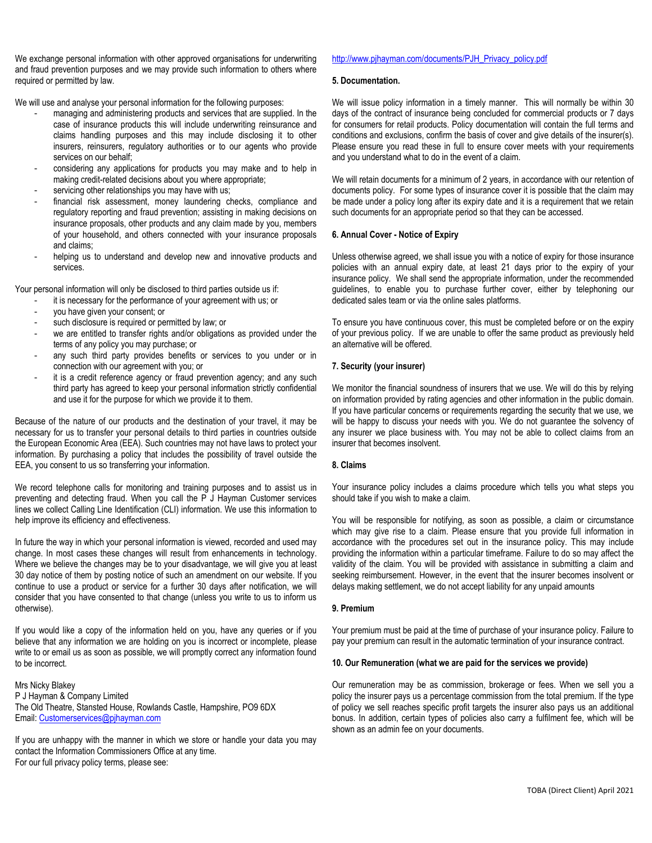We exchange personal information with other approved organisations for underwriting and fraud prevention purposes and we may provide such information to others where required or permitted by law.

We will use and analyse your personal information for the following purposes:

- managing and administering products and services that are supplied. In the case of insurance products this will include underwriting reinsurance and claims handling purposes and this may include disclosing it to other insurers, reinsurers, regulatory authorities or to our agents who provide services on our behalf;
- considering any applications for products you may make and to help in making credit-related decisions about you where appropriate;
- servicing other relationships you may have with us;
- financial risk assessment, money laundering checks, compliance and regulatory reporting and fraud prevention; assisting in making decisions on insurance proposals, other products and any claim made by you, members of your household, and others connected with your insurance proposals and claims;
- helping us to understand and develop new and innovative products and services.

Your personal information will only be disclosed to third parties outside us if:

- it is necessary for the performance of your agreement with us; or
- you have given your consent; or
- such disclosure is required or permitted by law; or
- we are entitled to transfer rights and/or obligations as provided under the terms of any policy you may purchase; or
- any such third party provides benefits or services to you under or in connection with our agreement with you; or
- it is a credit reference agency or fraud prevention agency; and any such third party has agreed to keep your personal information strictly confidential and use it for the purpose for which we provide it to them.

Because of the nature of our products and the destination of your travel, it may be necessary for us to transfer your personal details to third parties in countries outside the European Economic Area (EEA). Such countries may not have laws to protect your information. By purchasing a policy that includes the possibility of travel outside the EEA, you consent to us so transferring your information.

We record telephone calls for monitoring and training purposes and to assist us in preventing and detecting fraud. When you call the P J Hayman Customer services lines we collect Calling Line Identification (CLI) information. We use this information to help improve its efficiency and effectiveness.

In future the way in which your personal information is viewed, recorded and used may change. In most cases these changes will result from enhancements in technology. Where we believe the changes may be to your disadvantage, we will give you at least 30 day notice of them by posting notice of such an amendment on our website. If you continue to use a product or service for a further 30 days after notification, we will consider that you have consented to that change (unless you write to us to inform us otherwise).

If you would like a copy of the information held on you, have any queries or if you believe that any information we are holding on you is incorrect or incomplete, please write to or email us as soon as possible, we will promptly correct any information found to be incorrect.

Mrs Nicky Blakey P J Hayman & Company Limited The Old Theatre, Stansted House, Rowlands Castle, Hampshire, PO9 6DX Email: [Customerservices@pjhayman.com](mailto:Customerservices@pjhayman.com)

If you are unhappy with the manner in which we store or handle your data you may contact the Information Commissioners Office at any time. For our full privacy policy terms, please see:

# [http://www.pjhayman.com/documents/PJH\\_Privacy\\_policy.pdf](http://www.pjhayman.com/documents/PJH_Privacy_policy.pdf)

## **5. Documentation.**

We will issue policy information in a timely manner. This will normally be within 30 days of the contract of insurance being concluded for commercial products or 7 days for consumers for retail products. Policy documentation will contain the full terms and conditions and exclusions, confirm the basis of cover and give details of the insurer(s). Please ensure you read these in full to ensure cover meets with your requirements and you understand what to do in the event of a claim.

We will retain documents for a minimum of 2 years, in accordance with our retention of documents policy. For some types of insurance cover it is possible that the claim may be made under a policy long after its expiry date and it is a requirement that we retain such documents for an appropriate period so that they can be accessed.

# **6. Annual Cover - Notice of Expiry**

Unless otherwise agreed, we shall issue you with a notice of expiry for those insurance policies with an annual expiry date, at least 21 days prior to the expiry of your insurance policy. We shall send the appropriate information, under the recommended guidelines, to enable you to purchase further cover, either by telephoning our dedicated sales team or via the online sales platforms.

To ensure you have continuous cover, this must be completed before or on the expiry of your previous policy. If we are unable to offer the same product as previously held an alternative will be offered.

# **7. Security (your insurer)**

We monitor the financial soundness of insurers that we use. We will do this by relying on information provided by rating agencies and other information in the public domain. If you have particular concerns or requirements regarding the security that we use, we will be happy to discuss your needs with you. We do not guarantee the solvency of any insurer we place business with. You may not be able to collect claims from an insurer that becomes insolvent.

# **8. Claims**

Your insurance policy includes a claims procedure which tells you what steps you should take if you wish to make a claim.

You will be responsible for notifying, as soon as possible, a claim or circumstance which may give rise to a claim. Please ensure that you provide full information in accordance with the procedures set out in the insurance policy. This may include providing the information within a particular timeframe. Failure to do so may affect the validity of the claim. You will be provided with assistance in submitting a claim and seeking reimbursement. However, in the event that the insurer becomes insolvent or delays making settlement, we do not accept liability for any unpaid amounts

# **9. Premium**

Your premium must be paid at the time of purchase of your insurance policy. Failure to pay your premium can result in the automatic termination of your insurance contract.

# **10. Our Remuneration (what we are paid for the services we provide)**

Our remuneration may be as commission, brokerage or fees. When we sell you a policy the insurer pays us a percentage commission from the total premium. If the type of policy we sell reaches specific profit targets the insurer also pays us an additional bonus. In addition, certain types of policies also carry a fulfilment fee, which will be shown as an admin fee on your documents.